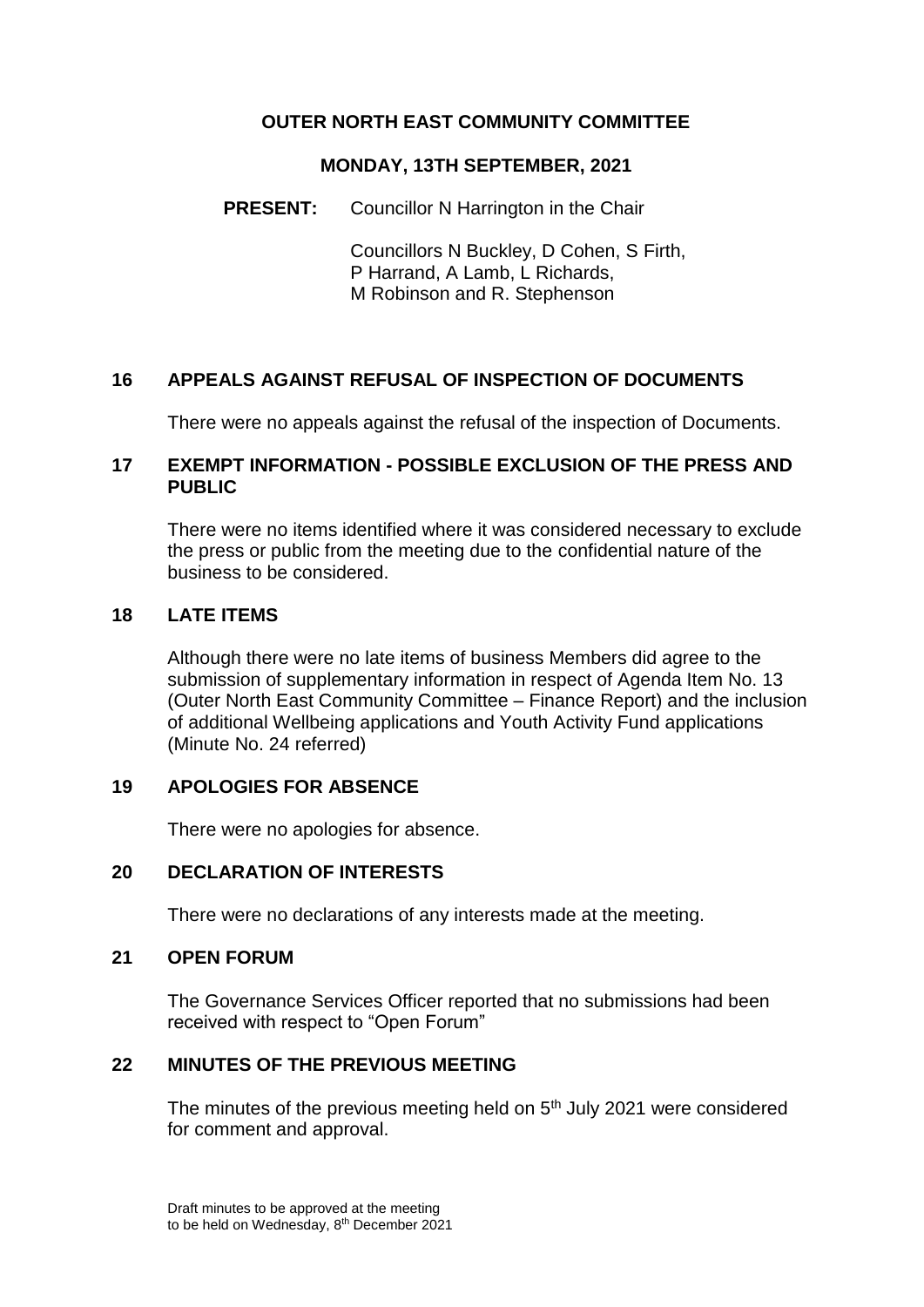## **OUTER NORTH EAST COMMUNITY COMMITTEE**

#### **MONDAY, 13TH SEPTEMBER, 2021**

### **PRESENT:** Councillor N Harrington in the Chair

Councillors N Buckley, D Cohen, S Firth, P Harrand, A Lamb, L Richards, M Robinson and R. Stephenson

## **16 APPEALS AGAINST REFUSAL OF INSPECTION OF DOCUMENTS**

There were no appeals against the refusal of the inspection of Documents.

### **17 EXEMPT INFORMATION - POSSIBLE EXCLUSION OF THE PRESS AND PUBLIC**

There were no items identified where it was considered necessary to exclude the press or public from the meeting due to the confidential nature of the business to be considered.

### **18 LATE ITEMS**

Although there were no late items of business Members did agree to the submission of supplementary information in respect of Agenda Item No. 13 (Outer North East Community Committee – Finance Report) and the inclusion of additional Wellbeing applications and Youth Activity Fund applications (Minute No. 24 referred)

### **19 APOLOGIES FOR ABSENCE**

There were no apologies for absence.

### **20 DECLARATION OF INTERESTS**

There were no declarations of any interests made at the meeting.

#### **21 OPEN FORUM**

The Governance Services Officer reported that no submissions had been received with respect to "Open Forum"

# **22 MINUTES OF THE PREVIOUS MEETING**

The minutes of the previous meeting held on 5<sup>th</sup> July 2021 were considered for comment and approval.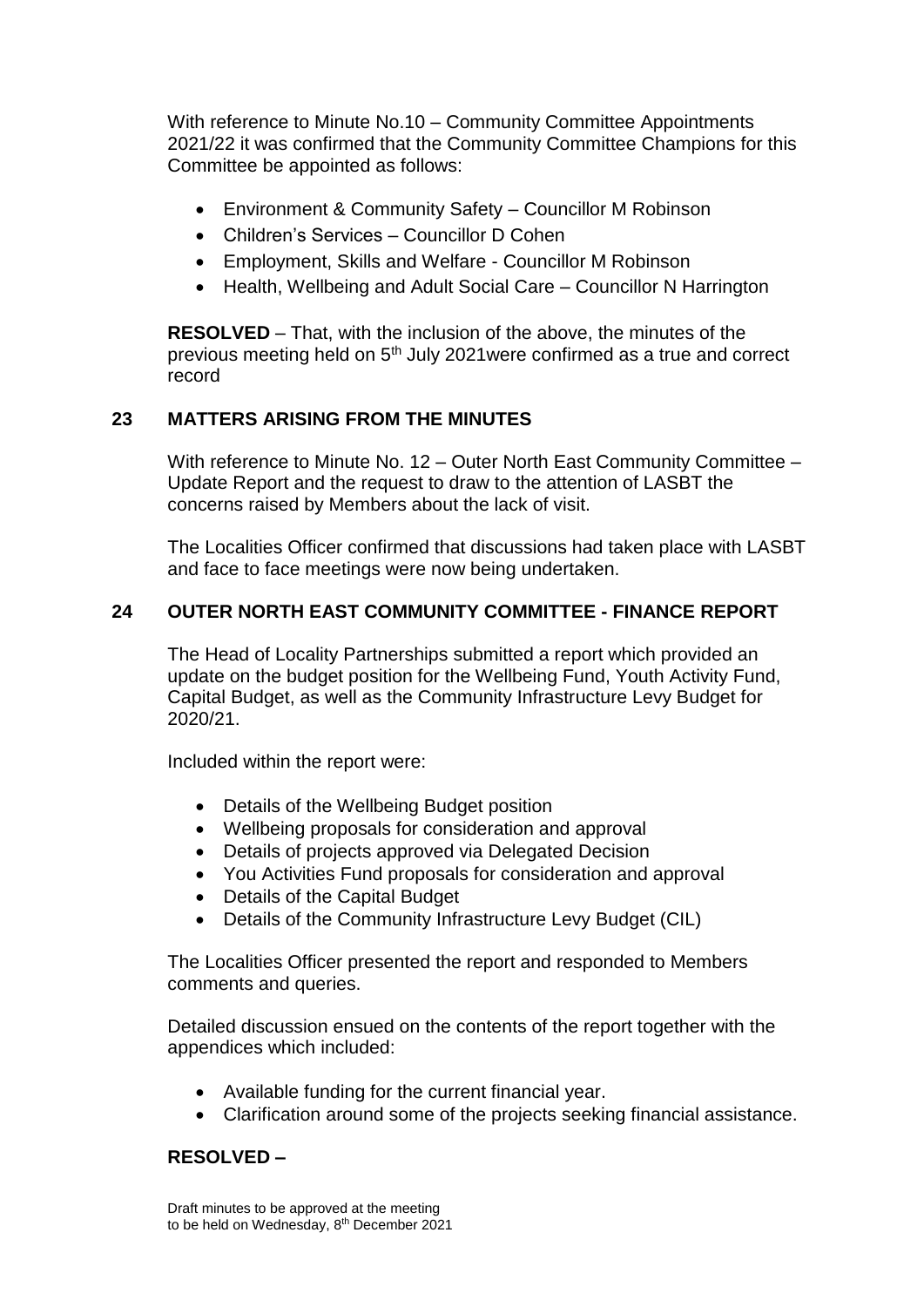With reference to Minute No.10 – Community Committee Appointments 2021/22 it was confirmed that the Community Committee Champions for this Committee be appointed as follows:

- Environment & Community Safety Councillor M Robinson
- Children's Services Councillor D Cohen
- Employment, Skills and Welfare Councillor M Robinson
- Health, Wellbeing and Adult Social Care Councillor N Harrington

**RESOLVED** – That, with the inclusion of the above, the minutes of the previous meeting held on 5th July 2021were confirmed as a true and correct record

## **23 MATTERS ARISING FROM THE MINUTES**

With reference to Minute No. 12 – Outer North East Community Committee – Update Report and the request to draw to the attention of LASBT the concerns raised by Members about the lack of visit.

The Localities Officer confirmed that discussions had taken place with LASBT and face to face meetings were now being undertaken.

### **24 OUTER NORTH EAST COMMUNITY COMMITTEE - FINANCE REPORT**

The Head of Locality Partnerships submitted a report which provided an update on the budget position for the Wellbeing Fund, Youth Activity Fund, Capital Budget, as well as the Community Infrastructure Levy Budget for 2020/21.

Included within the report were:

- Details of the Wellbeing Budget position
- Wellbeing proposals for consideration and approval
- Details of projects approved via Delegated Decision
- You Activities Fund proposals for consideration and approval
- Details of the Capital Budget
- Details of the Community Infrastructure Levy Budget (CIL)

The Localities Officer presented the report and responded to Members comments and queries.

Detailed discussion ensued on the contents of the report together with the appendices which included:

- Available funding for the current financial year.
- Clarification around some of the projects seeking financial assistance.

### **RESOLVED –**

Draft minutes to be approved at the meeting to be held on Wednesday, 8th December 2021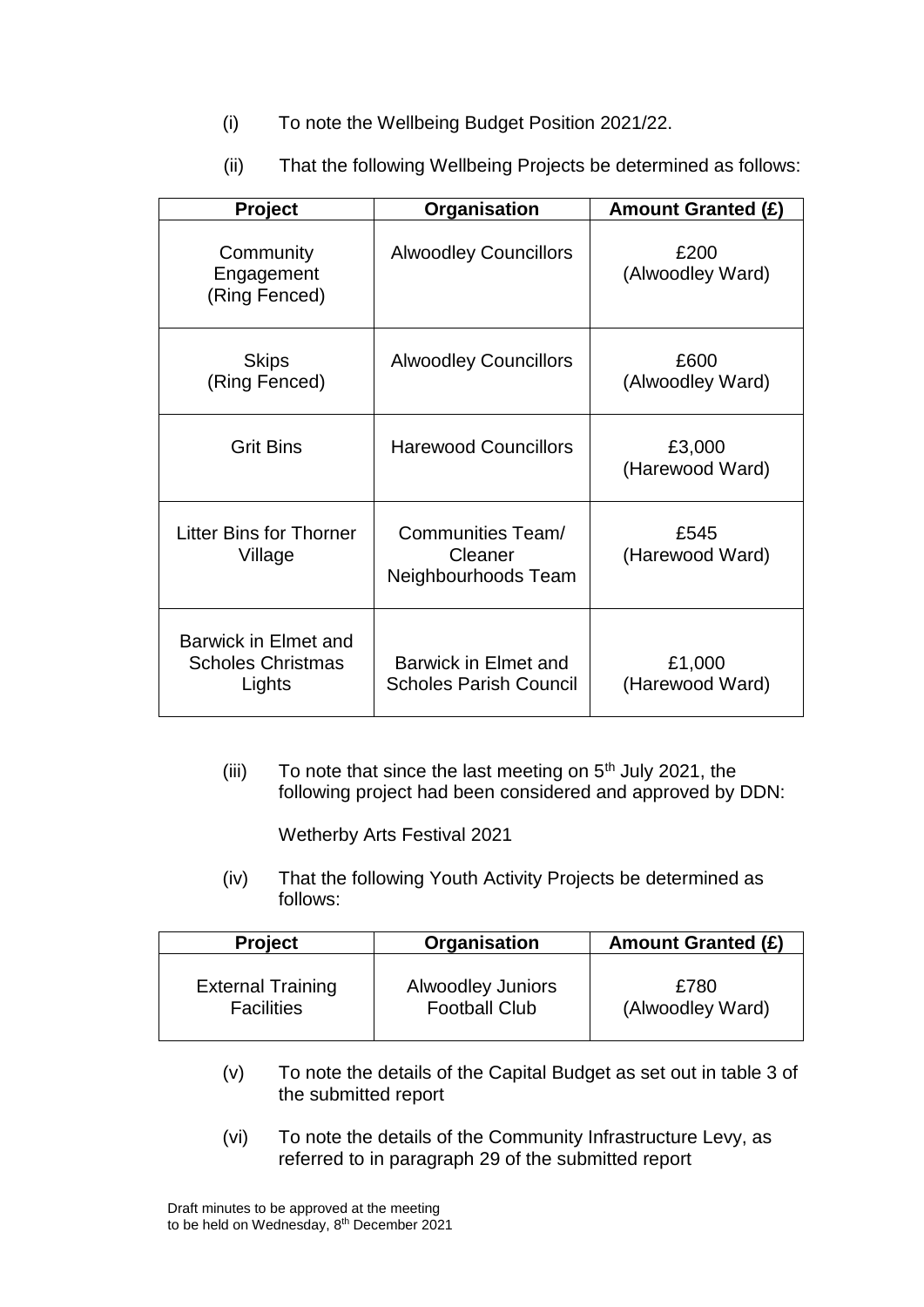- (i) To note the Wellbeing Budget Position 2021/22.
- (ii) That the following Wellbeing Projects be determined as follows:

| Project                                                    | Organisation                                        | <b>Amount Granted (£)</b> |
|------------------------------------------------------------|-----------------------------------------------------|---------------------------|
| Community<br>Engagement<br>(Ring Fenced)                   | <b>Alwoodley Councillors</b>                        | £200<br>(Alwoodley Ward)  |
| <b>Skips</b><br>(Ring Fenced)                              | <b>Alwoodley Councillors</b>                        | £600<br>(Alwoodley Ward)  |
| <b>Grit Bins</b>                                           | <b>Harewood Councillors</b>                         | £3,000<br>(Harewood Ward) |
| <b>Litter Bins for Thorner</b><br>Village                  | Communities Team/<br>Cleaner<br>Neighbourhoods Team | £545<br>(Harewood Ward)   |
| Barwick in Elmet and<br><b>Scholes Christmas</b><br>Lights | Barwick in Elmet and<br>Scholes Parish Council      | £1,000<br>(Harewood Ward) |

(iii) To note that since the last meeting on  $5<sup>th</sup>$  July 2021, the following project had been considered and approved by DDN:

Wetherby Arts Festival 2021

(iv) That the following Youth Activity Projects be determined as follows:

| <b>Project</b>           | Organisation             | <b>Amount Granted (£)</b> |
|--------------------------|--------------------------|---------------------------|
| <b>External Training</b> | <b>Alwoodley Juniors</b> | £780                      |
| <b>Facilities</b>        | <b>Football Club</b>     | (Alwoodley Ward)          |

- (v) To note the details of the Capital Budget as set out in table 3 of the submitted report
- (vi) To note the details of the Community Infrastructure Levy, as referred to in paragraph 29 of the submitted report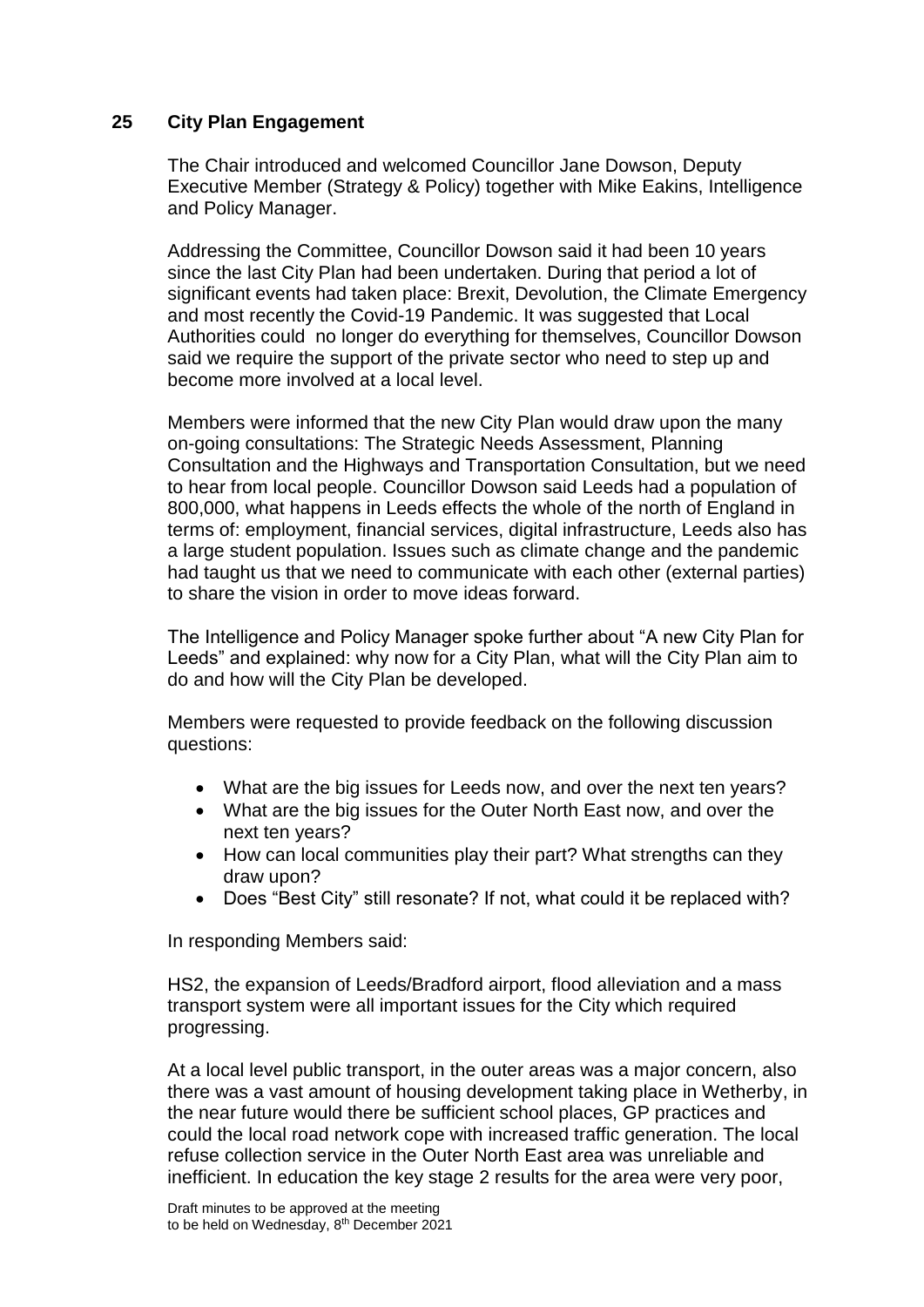### **25 City Plan Engagement**

The Chair introduced and welcomed Councillor Jane Dowson, Deputy Executive Member (Strategy & Policy) together with Mike Eakins, Intelligence and Policy Manager.

Addressing the Committee, Councillor Dowson said it had been 10 years since the last City Plan had been undertaken. During that period a lot of significant events had taken place: Brexit, Devolution, the Climate Emergency and most recently the Covid-19 Pandemic. It was suggested that Local Authorities could no longer do everything for themselves, Councillor Dowson said we require the support of the private sector who need to step up and become more involved at a local level.

Members were informed that the new City Plan would draw upon the many on-going consultations: The Strategic Needs Assessment, Planning Consultation and the Highways and Transportation Consultation, but we need to hear from local people. Councillor Dowson said Leeds had a population of 800,000, what happens in Leeds effects the whole of the north of England in terms of: employment, financial services, digital infrastructure, Leeds also has a large student population. Issues such as climate change and the pandemic had taught us that we need to communicate with each other (external parties) to share the vision in order to move ideas forward.

The Intelligence and Policy Manager spoke further about "A new City Plan for Leeds" and explained: why now for a City Plan, what will the City Plan aim to do and how will the City Plan be developed.

Members were requested to provide feedback on the following discussion questions:

- What are the big issues for Leeds now, and over the next ten years?
- What are the big issues for the Outer North East now, and over the next ten years?
- How can local communities play their part? What strengths can they draw upon?
- Does "Best City" still resonate? If not, what could it be replaced with?

In responding Members said:

HS2, the expansion of Leeds/Bradford airport, flood alleviation and a mass transport system were all important issues for the City which required progressing.

At a local level public transport, in the outer areas was a major concern, also there was a vast amount of housing development taking place in Wetherby, in the near future would there be sufficient school places, GP practices and could the local road network cope with increased traffic generation. The local refuse collection service in the Outer North East area was unreliable and inefficient. In education the key stage 2 results for the area were very poor,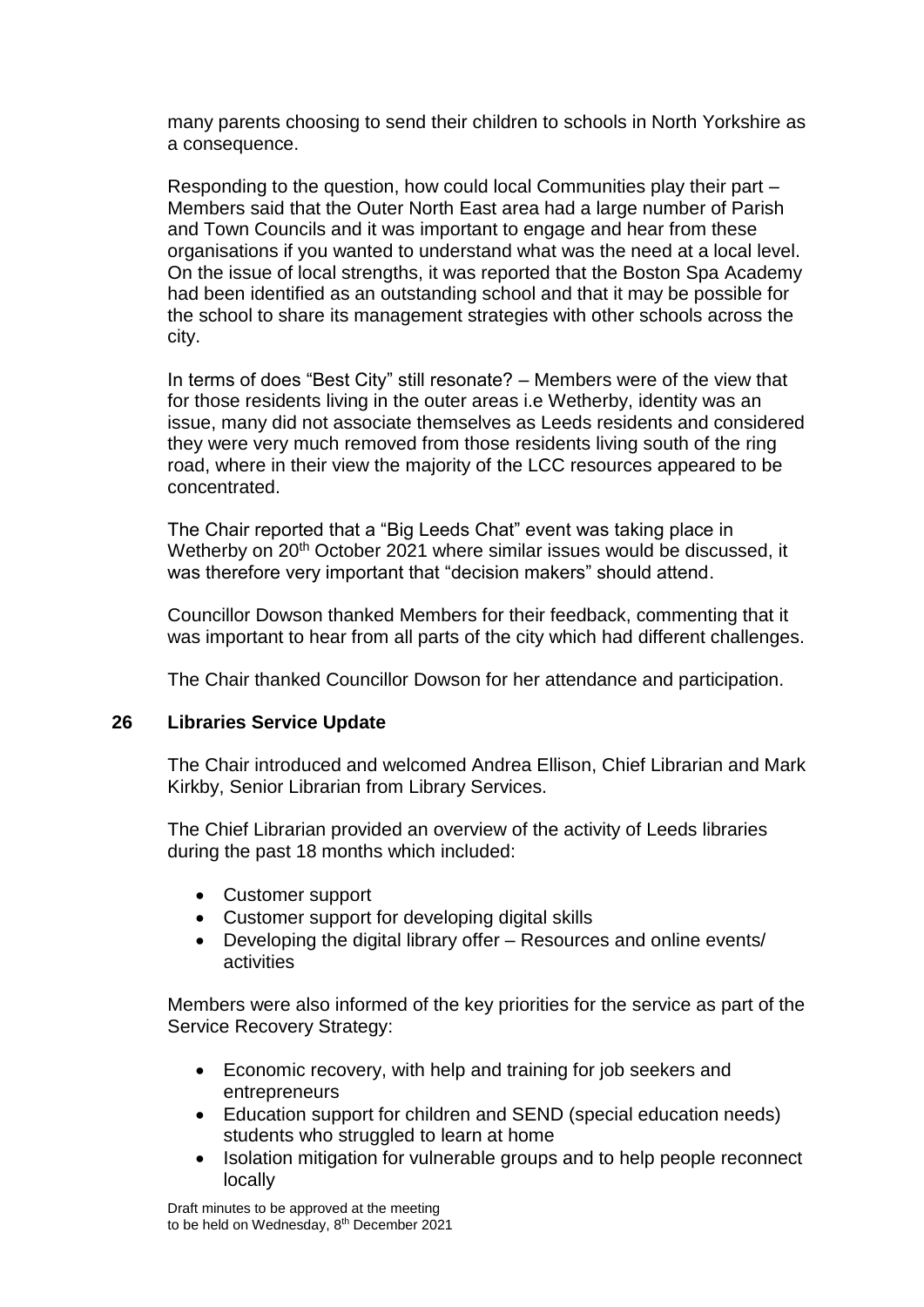many parents choosing to send their children to schools in North Yorkshire as a consequence.

Responding to the question, how could local Communities play their part – Members said that the Outer North East area had a large number of Parish and Town Councils and it was important to engage and hear from these organisations if you wanted to understand what was the need at a local level. On the issue of local strengths, it was reported that the Boston Spa Academy had been identified as an outstanding school and that it may be possible for the school to share its management strategies with other schools across the city.

In terms of does "Best City" still resonate? – Members were of the view that for those residents living in the outer areas i.e Wetherby, identity was an issue, many did not associate themselves as Leeds residents and considered they were very much removed from those residents living south of the ring road, where in their view the majority of the LCC resources appeared to be concentrated.

The Chair reported that a "Big Leeds Chat" event was taking place in Wetherby on 20<sup>th</sup> October 2021 where similar issues would be discussed, it was therefore very important that "decision makers" should attend.

Councillor Dowson thanked Members for their feedback, commenting that it was important to hear from all parts of the city which had different challenges.

The Chair thanked Councillor Dowson for her attendance and participation.

#### **26 Libraries Service Update**

The Chair introduced and welcomed Andrea Ellison, Chief Librarian and Mark Kirkby, Senior Librarian from Library Services.

The Chief Librarian provided an overview of the activity of Leeds libraries during the past 18 months which included:

- Customer support
- Customer support for developing digital skills
- Developing the digital library offer Resources and online events/ activities

Members were also informed of the key priorities for the service as part of the Service Recovery Strategy:

- Economic recovery, with help and training for job seekers and entrepreneurs
- Education support for children and SEND (special education needs) students who struggled to learn at home
- Isolation mitigation for vulnerable groups and to help people reconnect locally

Draft minutes to be approved at the meeting to be held on Wednesday, 8th December 2021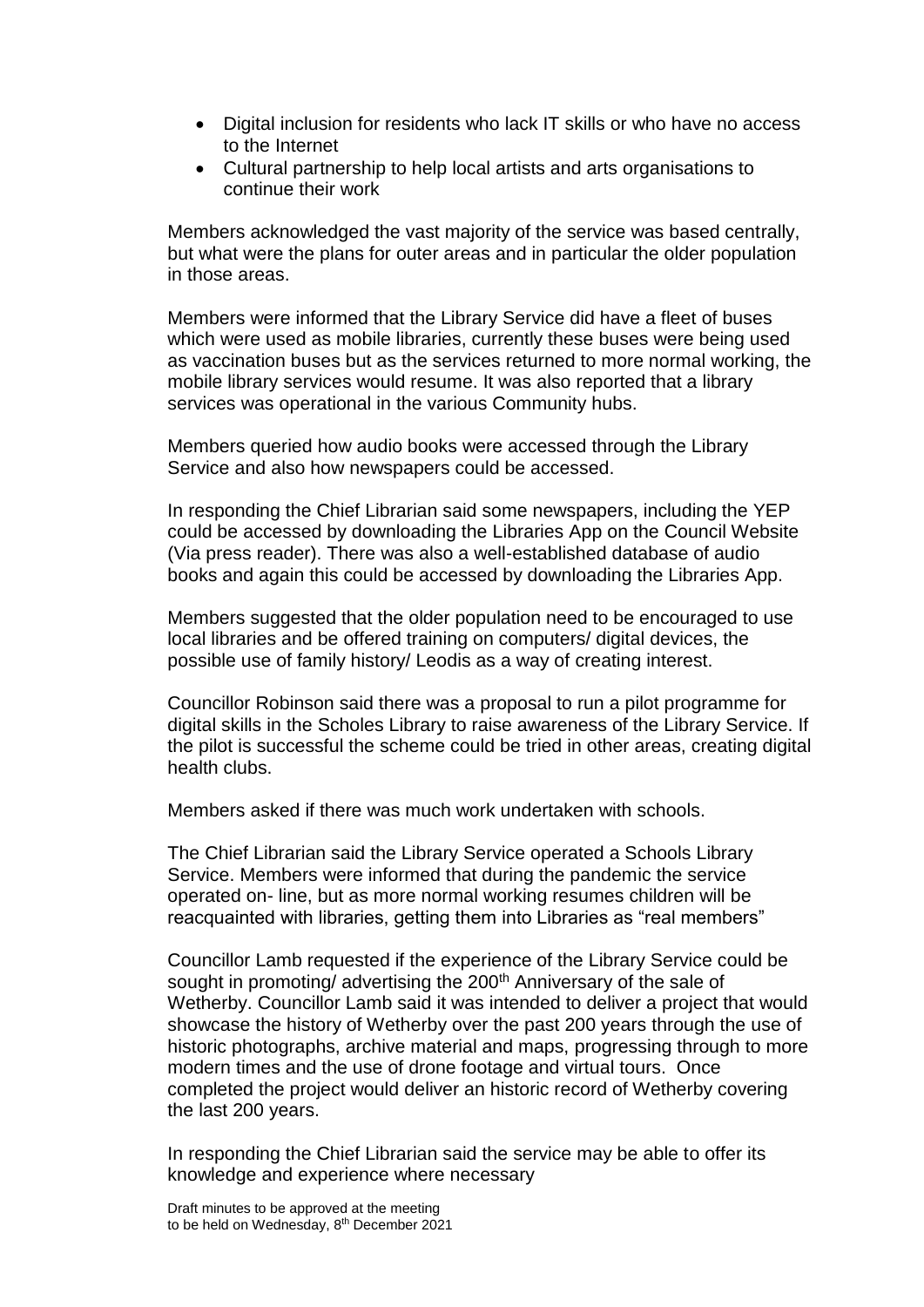- Digital inclusion for residents who lack IT skills or who have no access to the Internet
- Cultural partnership to help local artists and arts organisations to continue their work

Members acknowledged the vast majority of the service was based centrally, but what were the plans for outer areas and in particular the older population in those areas.

Members were informed that the Library Service did have a fleet of buses which were used as mobile libraries, currently these buses were being used as vaccination buses but as the services returned to more normal working, the mobile library services would resume. It was also reported that a library services was operational in the various Community hubs.

Members queried how audio books were accessed through the Library Service and also how newspapers could be accessed.

In responding the Chief Librarian said some newspapers, including the YEP could be accessed by downloading the Libraries App on the Council Website (Via press reader). There was also a well-established database of audio books and again this could be accessed by downloading the Libraries App.

Members suggested that the older population need to be encouraged to use local libraries and be offered training on computers/ digital devices, the possible use of family history/ Leodis as a way of creating interest.

Councillor Robinson said there was a proposal to run a pilot programme for digital skills in the Scholes Library to raise awareness of the Library Service. If the pilot is successful the scheme could be tried in other areas, creating digital health clubs.

Members asked if there was much work undertaken with schools.

The Chief Librarian said the Library Service operated a Schools Library Service. Members were informed that during the pandemic the service operated on- line, but as more normal working resumes children will be reacquainted with libraries, getting them into Libraries as "real members"

Councillor Lamb requested if the experience of the Library Service could be sought in promoting/ advertising the 200<sup>th</sup> Anniversary of the sale of Wetherby. Councillor Lamb said it was intended to deliver a project that would showcase the history of Wetherby over the past 200 years through the use of historic photographs, archive material and maps, progressing through to more modern times and the use of drone footage and virtual tours. Once completed the project would deliver an historic record of Wetherby covering the last 200 years.

In responding the Chief Librarian said the service may be able to offer its knowledge and experience where necessary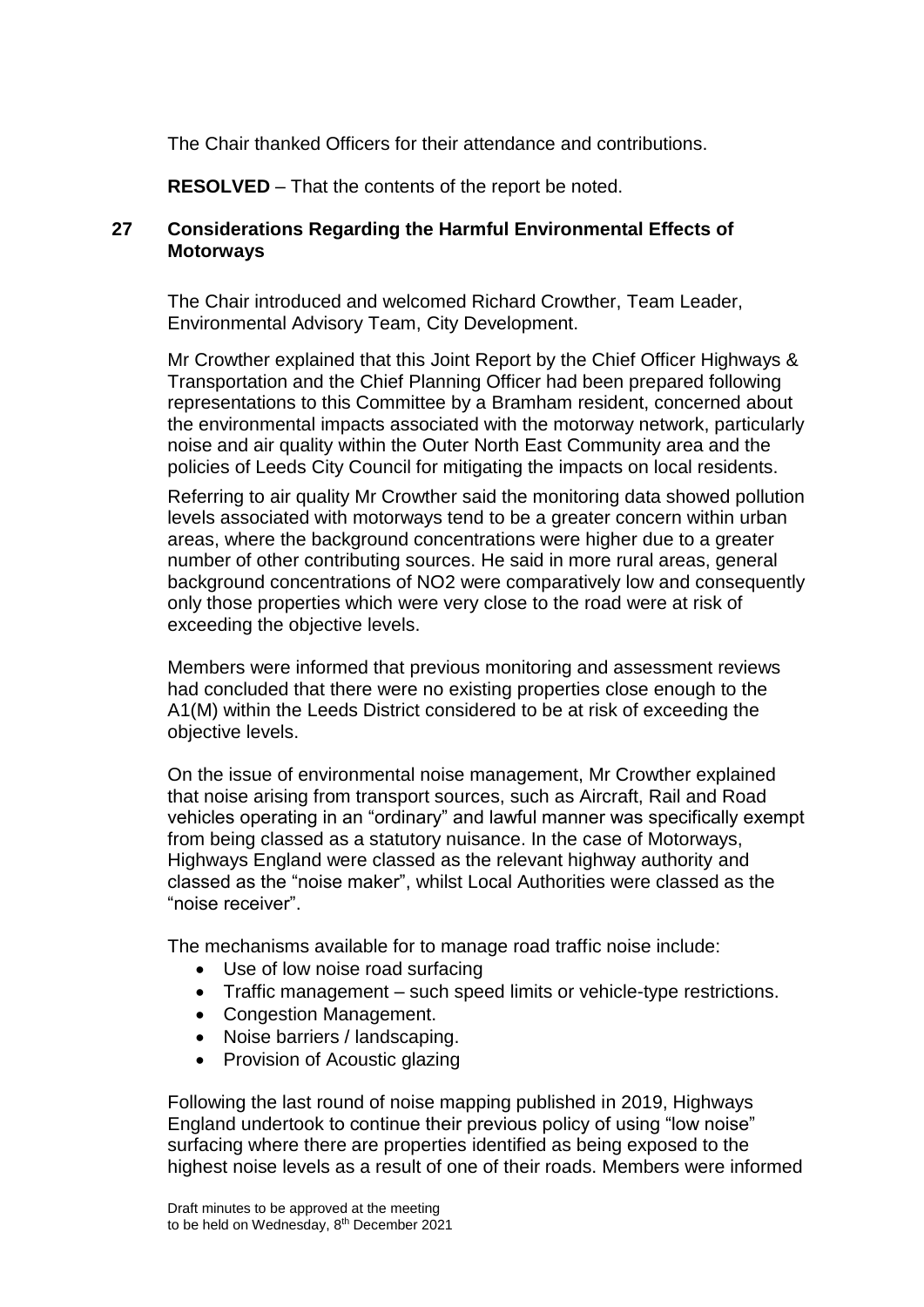The Chair thanked Officers for their attendance and contributions.

**RESOLVED** – That the contents of the report be noted.

### **27 Considerations Regarding the Harmful Environmental Effects of Motorways**

The Chair introduced and welcomed Richard Crowther, Team Leader, Environmental Advisory Team, City Development.

Mr Crowther explained that this Joint Report by the Chief Officer Highways & Transportation and the Chief Planning Officer had been prepared following representations to this Committee by a Bramham resident, concerned about the environmental impacts associated with the motorway network, particularly noise and air quality within the Outer North East Community area and the policies of Leeds City Council for mitigating the impacts on local residents.

Referring to air quality Mr Crowther said the monitoring data showed pollution levels associated with motorways tend to be a greater concern within urban areas, where the background concentrations were higher due to a greater number of other contributing sources. He said in more rural areas, general background concentrations of NO2 were comparatively low and consequently only those properties which were very close to the road were at risk of exceeding the objective levels.

Members were informed that previous monitoring and assessment reviews had concluded that there were no existing properties close enough to the A1(M) within the Leeds District considered to be at risk of exceeding the objective levels.

On the issue of environmental noise management, Mr Crowther explained that noise arising from transport sources, such as Aircraft, Rail and Road vehicles operating in an "ordinary" and lawful manner was specifically exempt from being classed as a statutory nuisance. In the case of Motorways, Highways England were classed as the relevant highway authority and classed as the "noise maker", whilst Local Authorities were classed as the "noise receiver".

The mechanisms available for to manage road traffic noise include:

- Use of low noise road surfacing
- Traffic management such speed limits or vehicle-type restrictions.
- Congestion Management.
- Noise barriers / landscaping.
- Provision of Acoustic glazing

Following the last round of noise mapping published in 2019, Highways England undertook to continue their previous policy of using "low noise" surfacing where there are properties identified as being exposed to the highest noise levels as a result of one of their roads. Members were informed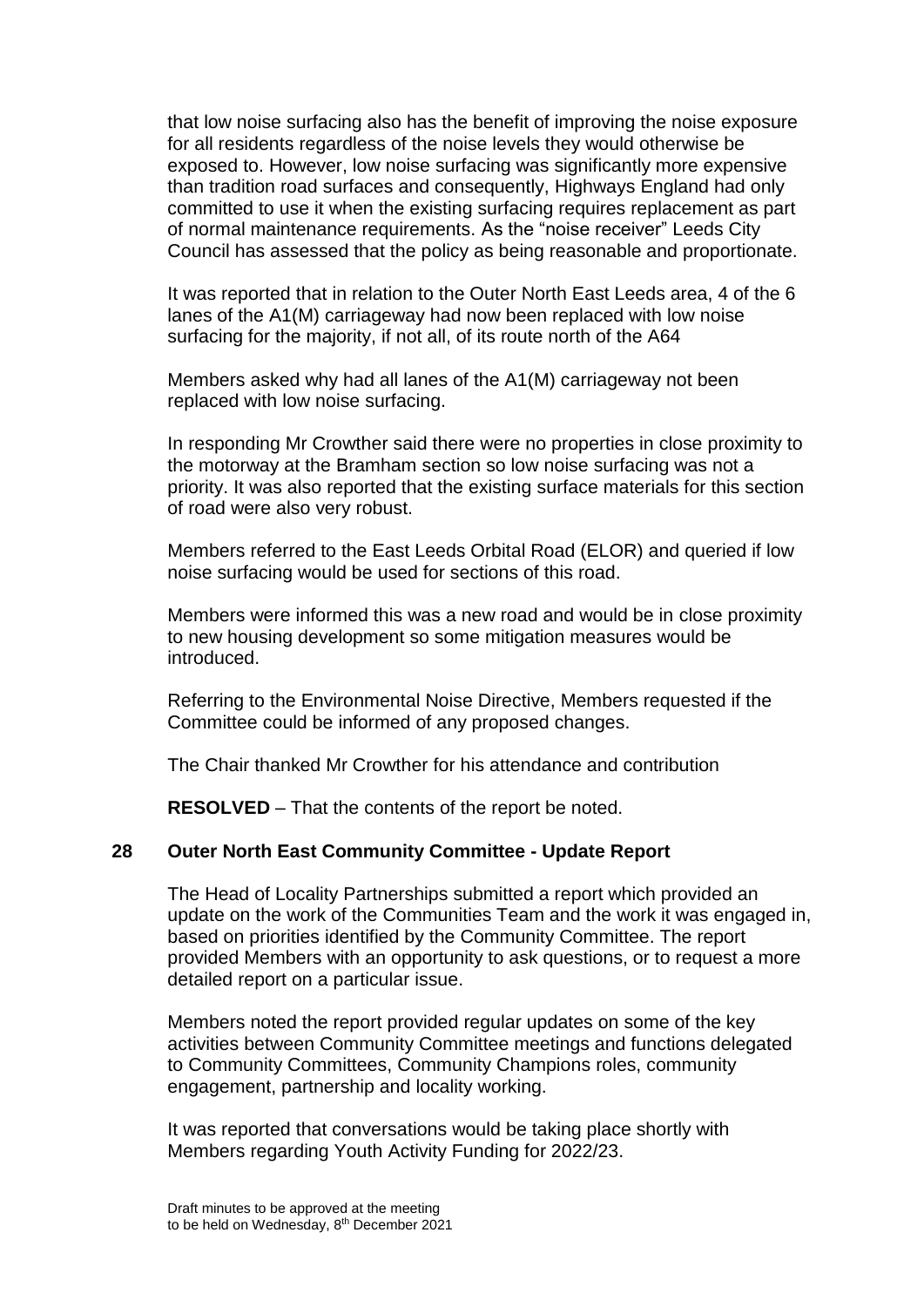that low noise surfacing also has the benefit of improving the noise exposure for all residents regardless of the noise levels they would otherwise be exposed to. However, low noise surfacing was significantly more expensive than tradition road surfaces and consequently, Highways England had only committed to use it when the existing surfacing requires replacement as part of normal maintenance requirements. As the "noise receiver" Leeds City Council has assessed that the policy as being reasonable and proportionate.

It was reported that in relation to the Outer North East Leeds area, 4 of the 6 lanes of the A1(M) carriageway had now been replaced with low noise surfacing for the majority, if not all, of its route north of the A64

Members asked why had all lanes of the A1(M) carriageway not been replaced with low noise surfacing.

In responding Mr Crowther said there were no properties in close proximity to the motorway at the Bramham section so low noise surfacing was not a priority. It was also reported that the existing surface materials for this section of road were also very robust.

Members referred to the East Leeds Orbital Road (ELOR) and queried if low noise surfacing would be used for sections of this road.

Members were informed this was a new road and would be in close proximity to new housing development so some mitigation measures would be introduced.

Referring to the Environmental Noise Directive, Members requested if the Committee could be informed of any proposed changes.

The Chair thanked Mr Crowther for his attendance and contribution

**RESOLVED** – That the contents of the report be noted.

### **28 Outer North East Community Committee - Update Report**

The Head of Locality Partnerships submitted a report which provided an update on the work of the Communities Team and the work it was engaged in, based on priorities identified by the Community Committee. The report provided Members with an opportunity to ask questions, or to request a more detailed report on a particular issue.

Members noted the report provided regular updates on some of the key activities between Community Committee meetings and functions delegated to Community Committees, Community Champions roles, community engagement, partnership and locality working.

It was reported that conversations would be taking place shortly with Members regarding Youth Activity Funding for 2022/23.